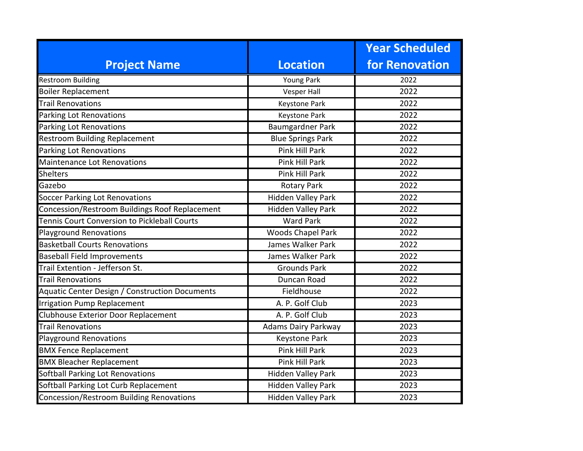|                                                |                            | <b>Year Scheduled</b> |
|------------------------------------------------|----------------------------|-----------------------|
| <b>Project Name</b>                            | <b>Location</b>            | <b>for Renovation</b> |
| <b>Restroom Building</b>                       | <b>Young Park</b>          | 2022                  |
| <b>Boiler Replacement</b>                      | <b>Vesper Hall</b>         | 2022                  |
| <b>Trail Renovations</b>                       | <b>Keystone Park</b>       | 2022                  |
| Parking Lot Renovations                        | <b>Keystone Park</b>       | 2022                  |
| <b>Parking Lot Renovations</b>                 | Baumgardner Park           | 2022                  |
| <b>Restroom Building Replacement</b>           | <b>Blue Springs Park</b>   | 2022                  |
| Parking Lot Renovations                        | <b>Pink Hill Park</b>      | 2022                  |
| <b>Maintenance Lot Renovations</b>             | <b>Pink Hill Park</b>      | 2022                  |
| <b>Shelters</b>                                | <b>Pink Hill Park</b>      | 2022                  |
| Gazebo                                         | <b>Rotary Park</b>         | 2022                  |
| <b>Soccer Parking Lot Renovations</b>          | Hidden Valley Park         | 2022                  |
| Concession/Restroom Buildings Roof Replacement | <b>Hidden Valley Park</b>  | 2022                  |
| Tennis Court Conversion to Pickleball Courts   | <b>Ward Park</b>           | 2022                  |
| <b>Playground Renovations</b>                  | <b>Woods Chapel Park</b>   | 2022                  |
| <b>Basketball Courts Renovations</b>           | James Walker Park          | 2022                  |
| <b>Baseball Field Improvements</b>             | James Walker Park          | 2022                  |
| Trail Extention - Jefferson St.                | <b>Grounds Park</b>        | 2022                  |
| <b>Trail Renovations</b>                       | Duncan Road                | 2022                  |
| Aquatic Center Design / Construction Documents | Fieldhouse                 | 2022                  |
| <b>Irrigation Pump Replacement</b>             | A. P. Golf Club            | 2023                  |
| Clubhouse Exterior Door Replacement            | A. P. Golf Club            | 2023                  |
| <b>Trail Renovations</b>                       | <b>Adams Dairy Parkway</b> | 2023                  |
| <b>Playground Renovations</b>                  | <b>Keystone Park</b>       | 2023                  |
| <b>BMX Fence Replacement</b>                   | <b>Pink Hill Park</b>      | 2023                  |
| <b>BMX Bleacher Replacement</b>                | <b>Pink Hill Park</b>      | 2023                  |
| Softball Parking Lot Renovations               | <b>Hidden Valley Park</b>  | 2023                  |
| Softball Parking Lot Curb Replacement          | <b>Hidden Valley Park</b>  | 2023                  |
| Concession/Restroom Building Renovations       | <b>Hidden Valley Park</b>  | 2023                  |